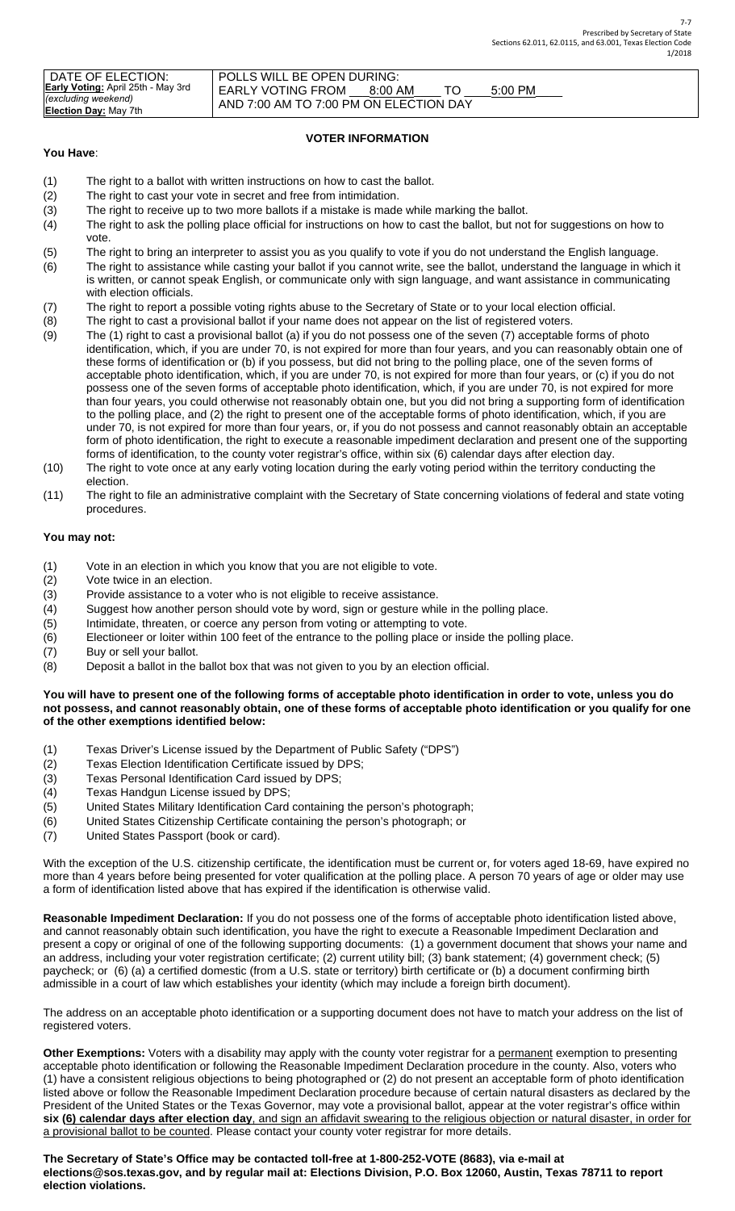| DATE OF ELECTION:                         | POLLS WILL BE OPEN DURING:             |           |  |           |  |  |
|-------------------------------------------|----------------------------------------|-----------|--|-----------|--|--|
|                                           |                                        |           |  |           |  |  |
| <b>Early Voting:</b> April 25th - May 3rd |                                        |           |  |           |  |  |
|                                           | <b>EARLY VOTING FROM</b>               | $8:00$ AM |  | $5:00$ PM |  |  |
|                                           |                                        |           |  |           |  |  |
|                                           |                                        |           |  |           |  |  |
| <b>Election Day: May 7th</b>              |                                        |           |  |           |  |  |
| (excluding weekend)                       | AND 7:00 AM TO 7:00 PM ON ELECTION DAY |           |  |           |  |  |

# **VOTER INFORMATION**

### **You Have**:

- (1) The right to a ballot with written instructions on how to cast the ballot.
- (2) The right to cast your vote in secret and free from intimidation.
- (3) The right to receive up to two more ballots if a mistake is made while marking the ballot.
- (4) The right to ask the polling place official for instructions on how to cast the ballot, but not for suggestions on how to vote.
- (5) The right to bring an interpreter to assist you as you qualify to vote if you do not understand the English language.
- (6) The right to assistance while casting your ballot if you cannot write, see the ballot, understand the language in which it is written, or cannot speak English, or communicate only with sign language, and want assistance in communicating with election officials.
- (7) The right to report a possible voting rights abuse to the Secretary of State or to your local election official.
- (8) The right to cast a provisional ballot if your name does not appear on the list of registered voters.
- (9) The (1) right to cast a provisional ballot (a) if you do not possess one of the seven (7) acceptable forms of photo identification, which, if you are under 70, is not expired for more than four years, and you can reasonably obtain one of these forms of identification or (b) if you possess, but did not bring to the polling place, one of the seven forms of acceptable photo identification, which, if you are under 70, is not expired for more than four years, or (c) if you do not possess one of the seven forms of acceptable photo identification, which, if you are under 70, is not expired for more than four years, you could otherwise not reasonably obtain one, but you did not bring a supporting form of identification to the polling place, and (2) the right to present one of the acceptable forms of photo identification, which, if you are under 70, is not expired for more than four years, or, if you do not possess and cannot reasonably obtain an acceptable form of photo identification, the right to execute a reasonable impediment declaration and present one of the supporting forms of identification, to the county voter registrar's office, within six (6) calendar days after election day.
- (10) The right to vote once at any early voting location during the early voting period within the territory conducting the election.
- (11) The right to file an administrative complaint with the Secretary of State concerning violations of federal and state voting procedures.

# **You may not:**

- (1) Vote in an election in which you know that you are not eligible to vote.
- (2) Vote twice in an election.
- (3) Provide assistance to a voter who is not eligible to receive assistance.
- (4) Suggest how another person should vote by word, sign or gesture while in the polling place.
- (5) Intimidate, threaten, or coerce any person from voting or attempting to vote.
- (6) Electioneer or loiter within 100 feet of the entrance to the polling place or inside the polling place.
- (7) Buy or sell your ballot.
- (8) Deposit a ballot in the ballot box that was not given to you by an election official.

### **You will have to present one of the following forms of acceptable photo identification in order to vote, unless you do not possess, and cannot reasonably obtain, one of these forms of acceptable photo identification or you qualify for one of the other exemptions identified below:**

- (1) Texas Driver's License issued by the Department of Public Safety ("DPS")
- (2) Texas Election Identification Certificate issued by DPS;
- (3) Texas Personal Identification Card issued by DPS;
- (4) Texas Handgun License issued by DPS;
- (5) United States Military Identification Card containing the person's photograph;
- (6) United States Citizenship Certificate containing the person's photograph; or
- (7) United States Passport (book or card).

With the exception of the U.S. citizenship certificate, the identification must be current or, for voters aged 18-69, have expired no more than 4 years before being presented for voter qualification at the polling place. A person 70 years of age or older may use a form of identification listed above that has expired if the identification is otherwise valid.

**Reasonable Impediment Declaration:** If you do not possess one of the forms of acceptable photo identification listed above, and cannot reasonably obtain such identification, you have the right to execute a Reasonable Impediment Declaration and present a copy or original of one of the following supporting documents: (1) a government document that shows your name and an address, including your voter registration certificate; (2) current utility bill; (3) bank statement; (4) government check; (5) paycheck; or (6) (a) a certified domestic (from a U.S. state or territory) birth certificate or (b) a document confirming birth admissible in a court of law which establishes your identity (which may include a foreign birth document).

The address on an acceptable photo identification or a supporting document does not have to match your address on the list of registered voters.

**Other Exemptions:** Voters with a disability may apply with the county voter registrar for a permanent exemption to presenting acceptable photo identification or following the Reasonable Impediment Declaration procedure in the county. Also, voters who (1) have a consistent religious objections to being photographed or (2) do not present an acceptable form of photo identification listed above or follow the Reasonable Impediment Declaration procedure because of certain natural disasters as declared by the President of the United States or the Texas Governor, may vote a provisional ballot, appear at the voter registrar's office within **six (6) calendar days after election day**, and sign an affidavit swearing to the religious objection or natural disaster, in order for a provisional ballot to be counted. Please contact your county voter registrar for more details.

**The Secretary of State's Office may be contacted toll-free at 1-800-252-VOTE (8683), via e-mail at elections@sos.texas.gov, and by regular mail at: Elections Division, P.O. Box 12060, Austin, Texas 78711 to report election violations.**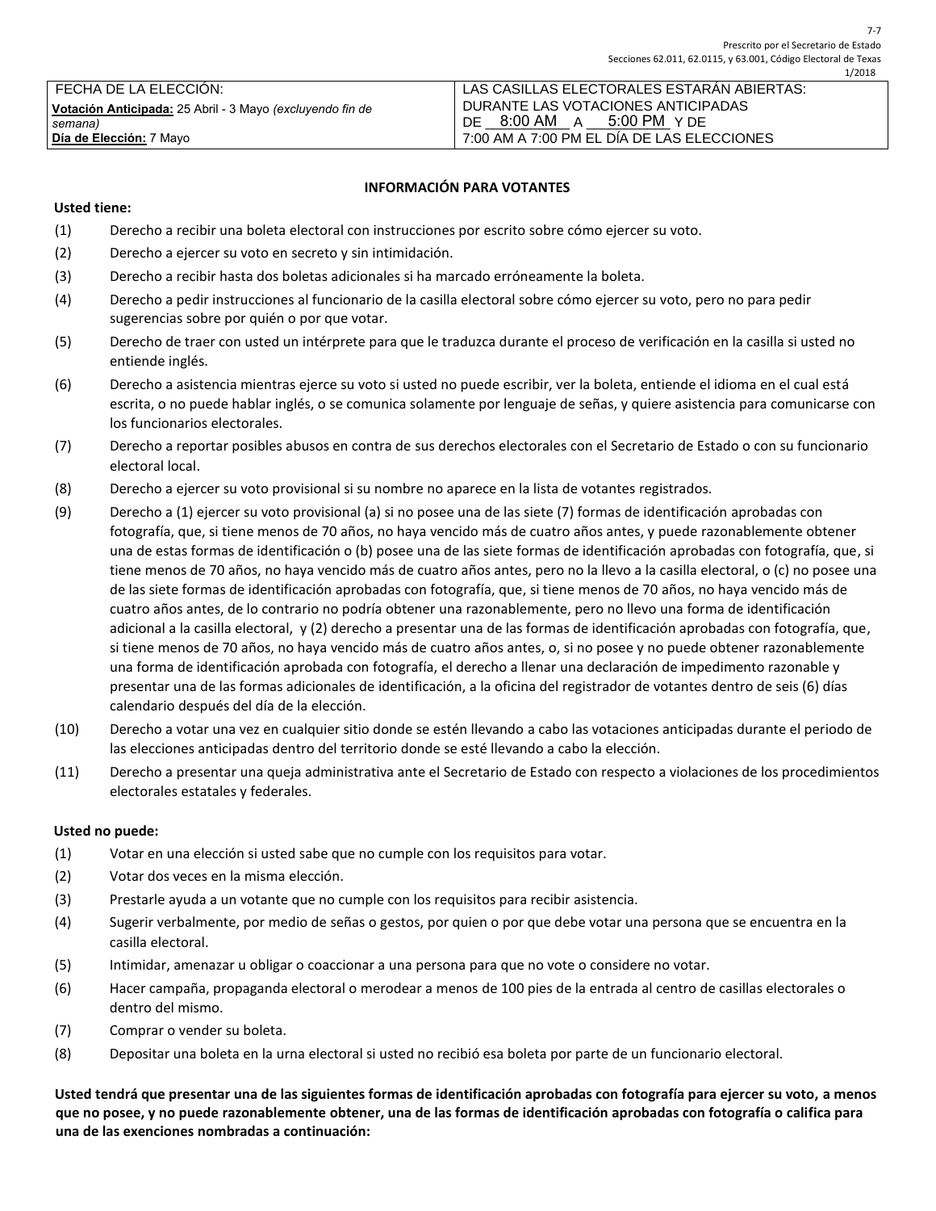| l FECHA DE LA ELECCION:                                   | LAS CASILLAS ELECTORALES ESTARÁN ABIERTAS: |  |  |  |
|-----------------------------------------------------------|--------------------------------------------|--|--|--|
| Votación Anticipada: 25 Abril - 3 Mayo (excluyendo fin de | DURANTE LAS VOTACIONES ANTICIPADAS         |  |  |  |
| semana)                                                   | 5:00 PM Y DF<br>8:00 AM A<br>DE            |  |  |  |
| <b>Día de Elección:</b> 7 Mayo                            | 7:00 AM A 7:00 PM EL DÍA DE LAS ELECCIONES |  |  |  |

### **INFORMACIÓN PARA VOTANTES**

### **Usted tiene:**

- (1) Derecho a recibir una boleta electoral con instrucciones por escrito sobre cómo ejercer su voto.
- (2) Derecho a ejercer su voto en secreto y sin intimidación.
- (3) Derecho a recibir hasta dos boletas adicionales si ha marcado erróneamente la boleta.
- (4) Derecho a pedir instrucciones al funcionario de la casilla electoral sobre cómo ejercer su voto, pero no para pedir sugerencias sobre por quién o por que votar.
- (5) Derecho de traer con usted un intérprete para que le traduzca durante el proceso de verificación en la casilla si usted no entiende inglés.
- (6) Derecho a asistencia mientras ejerce su voto si usted no puede escribir, ver la boleta, entiende el idioma en el cual está escrita, o no puede hablar inglés, o se comunica solamente por lenguaje de señas, y quiere asistencia para comunicarse con los funcionarios electorales.
- (7) Derecho a reportar posibles abusos en contra de sus derechos electorales con el Secretario de Estado o con su funcionario electoral local.
- (8) Derecho a ejercer su voto provisional si su nombre no aparece en la lista de votantes registrados.
- (9) Derecho a (1) ejercer su voto provisional (a) si no posee una de las siete (7) formas de identificación aprobadas con fotografía, que, si tiene menos de 70 años, no haya vencido más de cuatro años antes, y puede razonablemente obtener una de estas formas de identificación o (b) posee una de las siete formas de identificación aprobadas con fotografía, que, si tiene menos de 70 años, no haya vencido más de cuatro años antes, pero no la llevo a la casilla electoral, o (c) no posee una de las siete formas de identificación aprobadas con fotografía, que, si tiene menos de 70 años, no haya vencido más de cuatro años antes, de lo contrario no podría obtener una razonablemente, pero no llevo una forma de identificación adicional a la casilla electoral, y (2) derecho a presentar una de las formas de identificación aprobadas con fotografía, que, si tiene menos de 70 años, no haya vencido más de cuatro años antes, o, si no posee y no puede obtener razonablemente una forma de identificación aprobada con fotografía, el derecho a llenar una declaración de impedimento razonable y presentar una de las formas adicionales de identificación, a la oficina del registrador de votantes dentro de seis (6) días calendario después del día de la elección.
- (10) Derecho a votar una vez en cualquier sitio donde se estén llevando a cabo las votaciones anticipadas durante el periodo de las elecciones anticipadas dentro del territorio donde se esté llevando a cabo la elección.
- (11) Derecho a presentar una queja administrativa ante el Secretario de Estado con respecto a violaciones de los procedimientos electorales estatales y federales.

#### **Usted no puede:**

- (1) Votar en una elección si usted sabe que no cumple con los requisitos para votar.
- (2) Votar dos veces en la misma elección.
- (3) Prestarle ayuda a un votante que no cumple con los requisitos para recibir asistencia.
- (4) Sugerir verbalmente, por medio de señas o gestos, por quien o por que debe votar una persona que se encuentra en la casilla electoral.
- (5) Intimidar, amenazar u obligar o coaccionar a una persona para que no vote o considere no votar.
- (6) Hacer campaña, propaganda electoral o merodear a menos de 100 pies de la entrada al centro de casillas electorales o dentro del mismo.
- (7) Comprar o vender su boleta.
- (8) Depositar una boleta en la urna electoral si usted no recibió esa boleta por parte de un funcionario electoral.

**Usted tendrá que presentar una de las siguientes formas de identificación aprobadas con fotografía para ejercer su voto, a menos que no posee, y no puede razonablemente obtener, una de las formas de identificación aprobadas con fotografía o califica para una de las exenciones nombradas a continuación:**